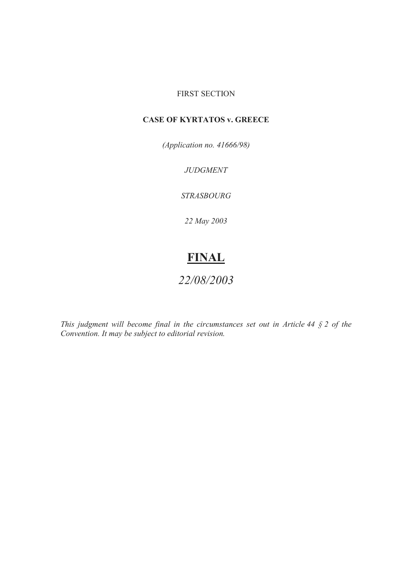# FIRST SECTION

# **CASE OF KYRTATOS v. GREECE**

*(Application no. 41666/98)*

*JUDGMENT*

*STRASBOURG*

*22 May 2003*

# **FINAL**

# *22/08/2003*

*This judgment will become final in the circumstances set out in Article 44 § 2 of the Convention. It may be subject to editorial revision.*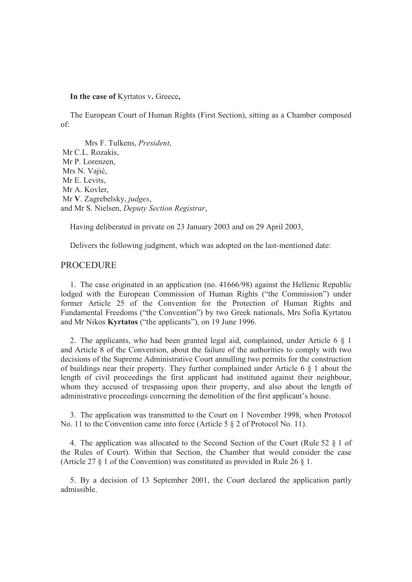## **In the case of** Kyrtatos v**.** Greece**,**

The European Court of Human Rights (First Section), sitting as a Chamber composed of:

Mrs F. Tulkens, *President*, Mr C.L. Rozakis, Mr P. Lorenzen, Mrs N. Vajić, Mr E. Levits, Mr A. Kovler, Mr **V**. Zagrebelsky, *judges*, and Mr S. Nielsen, *Deputy Section Registrar*,

Having deliberated in private on 23 January 2003 and on 29 April 2003,

Delivers the following judgment, which was adopted on the last-mentioned date:

## PROCEDURE

1. The case originated in an application (no. 41666/98) against the Hellenic Republic lodged with the European Commission of Human Rights ("the Commission") under former Article 25 of the Convention for the Protection of Human Rights and Fundamental Freedoms ("the Convention") by two Greek nationals, Mrs Sofia Kyrtatou and Mr Nikos **Kyrtatos** ("the applicants"), on 19 June 1996.

2. The applicants, who had been granted legal aid, complained, under Article 6 § 1 and Article 8 of the Convention, about the failure of the authorities to comply with two decisions of the Supreme Administrative Court annulling two permits for the construction of buildings near their property. They further complained under Article 6 § 1 about the length of civil proceedings the first applicant had instituted against their neighbour, whom they accused of trespassing upon their property, and also about the length of administrative proceedings concerning the demolition of the first applicant's house.

3. The application was transmitted to the Court on 1 November 1998, when Protocol No. 11 to the Convention came into force (Article 5 § 2 of Protocol No. 11).

4. The application was allocated to the Second Section of the Court (Rule 52 § 1 of the Rules of Court). Within that Section, the Chamber that would consider the case (Article 27 § 1 of the Convention) was constituted as provided in Rule 26 § 1.

5. By a decision of 13 September 2001, the Court declared the application partly admissible.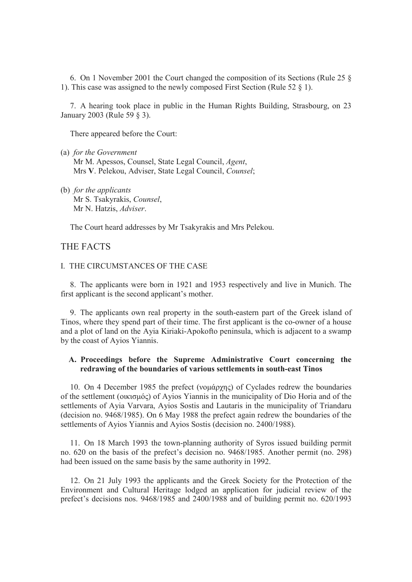6. On 1 November 2001 the Court changed the composition of its Sections (Rule 25 § 1). This case was assigned to the newly composed First Section (Rule 52 § 1).

7. A hearing took place in public in the Human Rights Building, Strasbourg, on 23 January 2003 (Rule 59 § 3).

There appeared before the Court:

(a) *for the Government* Mr M. Apessos, Counsel, State Legal Council, *Agent*, Mrs **V**. Pelekou, Adviser, State Legal Council, *Counsel*;

(b) *for the applicants* Mr S. Tsakyrakis, *Counsel*, Mr N. Hatzis, *Adviser*.

The Court heard addresses by Mr Tsakyrakis and Mrs Pelekou.

# THE FACTS

## I. THE CIRCUMSTANCES OF THE CASE

8. The applicants were born in 1921 and 1953 respectively and live in Munich. The first applicant is the second applicant's mother.

9. The applicants own real property in the south-eastern part of the Greek island of Tinos, where they spend part of their time. The first applicant is the co-owner of a house and a plot of land on the Ayia Kiriaki-Apokofto peninsula, which is adjacent to a swamp by the coast of Ayios Yiannis.

## **A. Proceedings before the Supreme Administrative Court concerning the redrawing of the boundaries of various settlements in south-east Tinos**

10. On 4 December 1985 the prefect (νοµάρχης) of Cyclades redrew the boundaries of the settlement (οικισµός) of Ayios Yiannis in the municipality of Dio Horia and of the settlements of Ayia Varvara, Ayios Sostis and Lautaris in the municipality of Triandaru (decision no. 9468/1985). On 6 May 1988 the prefect again redrew the boundaries of the settlements of Ayios Yiannis and Ayios Sostis (decision no. 2400/1988).

11. On 18 March 1993 the town-planning authority of Syros issued building permit no. 620 on the basis of the prefect's decision no. 9468/1985. Another permit (no. 298) had been issued on the same basis by the same authority in 1992.

12. On 21 July 1993 the applicants and the Greek Society for the Protection of the Environment and Cultural Heritage lodged an application for judicial review of the prefect's decisions nos. 9468/1985 and 2400/1988 and of building permit no. 620/1993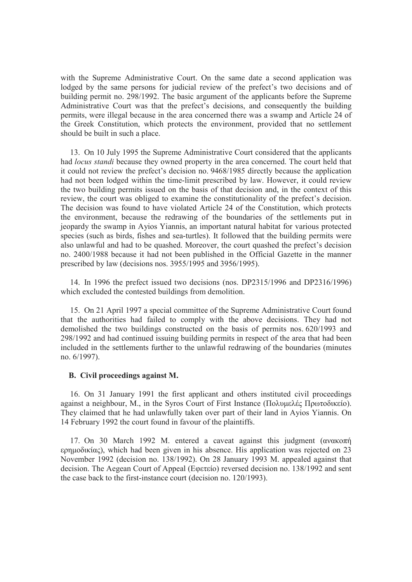with the Supreme Administrative Court. On the same date a second application was lodged by the same persons for judicial review of the prefect's two decisions and of building permit no. 298/1992. The basic argument of the applicants before the Supreme Administrative Court was that the prefect's decisions, and consequently the building permits, were illegal because in the area concerned there was a swamp and Article 24 of the Greek Constitution, which protects the environment, provided that no settlement should be built in such a place.

13. On 10 July 1995 the Supreme Administrative Court considered that the applicants had *locus standi* because they owned property in the area concerned. The court held that it could not review the prefect's decision no. 9468/1985 directly because the application had not been lodged within the time-limit prescribed by law. However, it could review the two building permits issued on the basis of that decision and, in the context of this review, the court was obliged to examine the constitutionality of the prefect's decision. The decision was found to have violated Article 24 of the Constitution, which protects the environment, because the redrawing of the boundaries of the settlements put in jeopardy the swamp in Ayios Yiannis, an important natural habitat for various protected species (such as birds, fishes and sea-turtles). It followed that the building permits were also unlawful and had to be quashed. Moreover, the court quashed the prefect's decision no. 2400/1988 because it had not been published in the Official Gazette in the manner prescribed by law (decisions nos. 3955/1995 and 3956/1995).

14. In 1996 the prefect issued two decisions (nos. DP2315/1996 and DP2316/1996) which excluded the contested buildings from demolition.

15. On 21 April 1997 a special committee of the Supreme Administrative Court found that the authorities had failed to comply with the above decisions. They had not demolished the two buildings constructed on the basis of permits nos. 620/1993 and 298/1992 and had continued issuing building permits in respect of the area that had been included in the settlements further to the unlawful redrawing of the boundaries (minutes no. 6/1997).

## **B. Civil proceedings against M.**

16. On 31 January 1991 the first applicant and others instituted civil proceedings against a neighbour, M., in the Syros Court of First Instance (Πολυµελές Πρωτοδικείο). They claimed that he had unlawfully taken over part of their land in Ayios Yiannis. On 14 February 1992 the court found in favour of the plaintiffs.

17. On 30 March 1992 M. entered a caveat against this judgment (ανακοπή ερηµοδικίας), which had been given in his absence. His application was rejected on 23 November 1992 (decision no. 138/1992). On 28 January 1993 M. appealed against that decision. The Aegean Court of Appeal (Εφετείο) reversed decision no. 138/1992 and sent the case back to the first-instance court (decision no. 120/1993).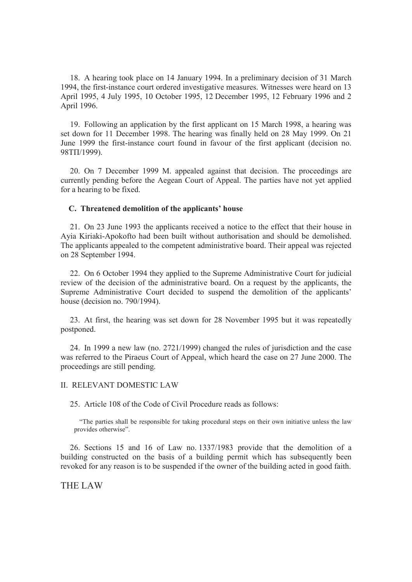18. A hearing took place on 14 January 1994. In a preliminary decision of 31 March 1994, the first-instance court ordered investigative measures. Witnesses were heard on 13 April 1995, 4 July 1995, 10 October 1995, 12 December 1995, 12 February 1996 and 2 April 1996.

19. Following an application by the first applicant on 15 March 1998, a hearing was set down for 11 December 1998. The hearing was finally held on 28 May 1999. On 21 June 1999 the first-instance court found in favour of the first applicant (decision no. 98ΤΠ/1999).

20. On 7 December 1999 M. appealed against that decision. The proceedings are currently pending before the Aegean Court of Appeal. The parties have not yet applied for a hearing to be fixed.

## **C. Threatened demolition of the applicants' house**

21. On 23 June 1993 the applicants received a notice to the effect that their house in Ayia Kiriaki-Apokofto had been built without authorisation and should be demolished. The applicants appealed to the competent administrative board. Their appeal was rejected on 28 September 1994.

22. On 6 October 1994 they applied to the Supreme Administrative Court for judicial review of the decision of the administrative board. On a request by the applicants, the Supreme Administrative Court decided to suspend the demolition of the applicants' house (decision no. 790/1994).

23. At first, the hearing was set down for 28 November 1995 but it was repeatedly postponed.

24. In 1999 a new law (no. 2721/1999) changed the rules of jurisdiction and the case was referred to the Piraeus Court of Appeal, which heard the case on 27 June 2000. The proceedings are still pending.

II. RELEVANT DOMESTIC LAW

25. Article 108 of the Code of Civil Procedure reads as follows:

"The parties shall be responsible for taking procedural steps on their own initiative unless the law provides otherwise".

26. Sections 15 and 16 of Law no. 1337/1983 provide that the demolition of a building constructed on the basis of a building permit which has subsequently been revoked for any reason is to be suspended if the owner of the building acted in good faith.

THE LAW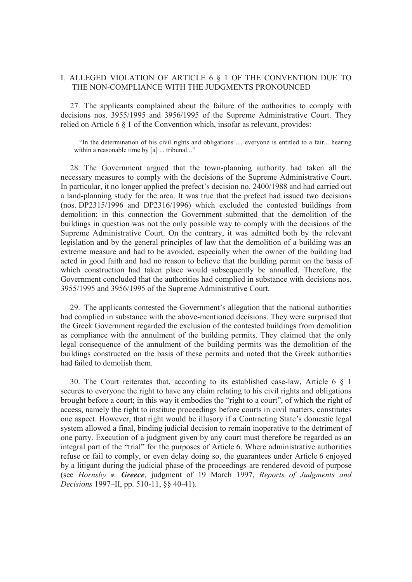## I. ALLEGED VIOLATION OF ARTICLE 6 § 1 OF THE CONVENTION DUE TO THE NON-COMPLIANCE WITH THE JUDGMENTS PRONOUNCED

27. The applicants complained about the failure of the authorities to comply with decisions nos. 3955/1995 and 3956/1995 of the Supreme Administrative Court. They relied on Article 6 § 1 of the Convention which, insofar as relevant, provides:

"In the determination of his civil rights and obligations ..., everyone is entitled to a fair... hearing within a reasonable time by [a] ... tribunal..."

28. The Government argued that the town-planning authority had taken all the necessary measures to comply with the decisions of the Supreme Administrative Court. In particular, it no longer applied the prefect's decision no. 2400/1988 and had carried out a land-planning study for the area. It was true that the prefect had issued two decisions (nos. DP2315/1996 and DP2316/1996) which excluded the contested buildings from demolition; in this connection the Government submitted that the demolition of the buildings in question was not the only possible way to comply with the decisions of the Supreme Administrative Court. On the contrary, it was admitted both by the relevant legislation and by the general principles of law that the demolition of a building was an extreme measure and had to be avoided, especially when the owner of the building had acted in good faith and had no reason to believe that the building permit on the basis of which construction had taken place would subsequently be annulled. Therefore, the Government concluded that the authorities had complied in substance with decisions nos. 3955/1995 and 3956/1995 of the Supreme Administrative Court.

29. The applicants contested the Government's allegation that the national authorities had complied in substance with the above-mentioned decisions. They were surprised that the Greek Government regarded the exclusion of the contested buildings from demolition as compliance with the annulment of the building permits. They claimed that the only legal consequence of the annulment of the building permits was the demolition of the buildings constructed on the basis of these permits and noted that the Greek authorities had failed to demolish them.

30. The Court reiterates that, according to its established case-law, Article 6 § 1 secures to everyone the right to have any claim relating to his civil rights and obligations brought before a court; in this way it embodies the "right to a court", of which the right of access, namely the right to institute proceedings before courts in civil matters, constitutes one aspect. However, that right would be illusory if a Contracting State's domestic legal system allowed a final, binding judicial decision to remain inoperative to the detriment of one party. Execution of a judgment given by any court must therefore be regarded as an integral part of the "trial" for the purposes of Article 6. Where administrative authorities refuse or fail to comply, or even delay doing so, the guarantees under Article 6 enjoyed by a litigant during the judicial phase of the proceedings are rendered devoid of purpose (see *Hornsby v. Greece*, judgment of 19 March 1997, *Reports of Judgments and Decisions* 1997–II, pp. 510-11, §§ 40-41).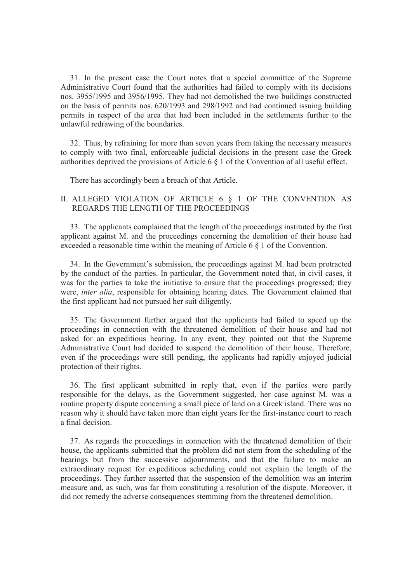31. In the present case the Court notes that a special committee of the Supreme Administrative Court found that the authorities had failed to comply with its decisions nos. 3955/1995 and 3956/1995. They had not demolished the two buildings constructed on the basis of permits nos. 620/1993 and 298/1992 and had continued issuing building permits in respect of the area that had been included in the settlements further to the unlawful redrawing of the boundaries.

32. Thus, by refraining for more than seven years from taking the necessary measures to comply with two final, enforceable judicial decisions in the present case the Greek authorities deprived the provisions of Article 6 § 1 of the Convention of all useful effect.

There has accordingly been a breach of that Article.

## II. ALLEGED VIOLATION OF ARTICLE 6 § 1 OF THE CONVENTION AS REGARDS THE LENGTH OF THE PROCEEDINGS

33. The applicants complained that the length of the proceedings instituted by the first applicant against M. and the proceedings concerning the demolition of their house had exceeded a reasonable time within the meaning of Article 6 § 1 of the Convention.

34. In the Government's submission, the proceedings against M. had been protracted by the conduct of the parties. In particular, the Government noted that, in civil cases, it was for the parties to take the initiative to ensure that the proceedings progressed; they were, *inter alia*, responsible for obtaining hearing dates. The Government claimed that the first applicant had not pursued her suit diligently.

35. The Government further argued that the applicants had failed to speed up the proceedings in connection with the threatened demolition of their house and had not asked for an expeditious hearing. In any event, they pointed out that the Supreme Administrative Court had decided to suspend the demolition of their house. Therefore, even if the proceedings were still pending, the applicants had rapidly enjoyed judicial protection of their rights.

36. The first applicant submitted in reply that, even if the parties were partly responsible for the delays, as the Government suggested, her case against M. was a routine property dispute concerning a small piece of land on a Greek island. There was no reason why it should have taken more than eight years for the first-instance court to reach a final decision.

37. As regards the proceedings in connection with the threatened demolition of their house, the applicants submitted that the problem did not stem from the scheduling of the hearings but from the successive adjournments, and that the failure to make an extraordinary request for expeditious scheduling could not explain the length of the proceedings. They further asserted that the suspension of the demolition was an interim measure and, as such, was far from constituting a resolution of the dispute. Moreover, it did not remedy the adverse consequences stemming from the threatened demolition.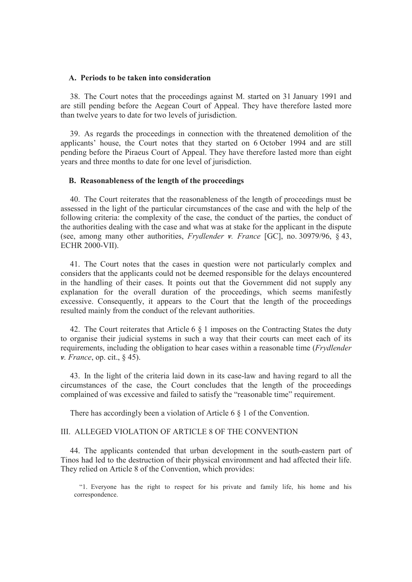## **A. Periods to be taken into consideration**

38. The Court notes that the proceedings against M. started on 31 January 1991 and are still pending before the Aegean Court of Appeal. They have therefore lasted more than twelve years to date for two levels of jurisdiction.

39. As regards the proceedings in connection with the threatened demolition of the applicants' house, the Court notes that they started on 6 October 1994 and are still pending before the Piraeus Court of Appeal. They have therefore lasted more than eight years and three months to date for one level of jurisdiction.

#### **B. Reasonableness of the length of the proceedings**

40. The Court reiterates that the reasonableness of the length of proceedings must be assessed in the light of the particular circumstances of the case and with the help of the following criteria: the complexity of the case, the conduct of the parties, the conduct of the authorities dealing with the case and what was at stake for the applicant in the dispute (see, among many other authorities, *Frydlender v. France* [GC], no. 30979/96, § 43, ECHR 2000-VII).

41. The Court notes that the cases in question were not particularly complex and considers that the applicants could not be deemed responsible for the delays encountered in the handling of their cases. It points out that the Government did not supply any explanation for the overall duration of the proceedings, which seems manifestly excessive. Consequently, it appears to the Court that the length of the proceedings resulted mainly from the conduct of the relevant authorities.

42. The Court reiterates that Article 6 § 1 imposes on the Contracting States the duty to organise their judicial systems in such a way that their courts can meet each of its requirements, including the obligation to hear cases within a reasonable time (*Frydlender v. France*, op. cit., § 45).

43. In the light of the criteria laid down in its case-law and having regard to all the circumstances of the case, the Court concludes that the length of the proceedings complained of was excessive and failed to satisfy the "reasonable time" requirement.

There has accordingly been a violation of Article 6 § 1 of the Convention.

# III. ALLEGED VIOLATION OF ARTICLE 8 OF THE CONVENTION

44. The applicants contended that urban development in the south-eastern part of Tinos had led to the destruction of their physical environment and had affected their life. They relied on Article 8 of the Convention, which provides:

"1. Everyone has the right to respect for his private and family life, his home and his correspondence.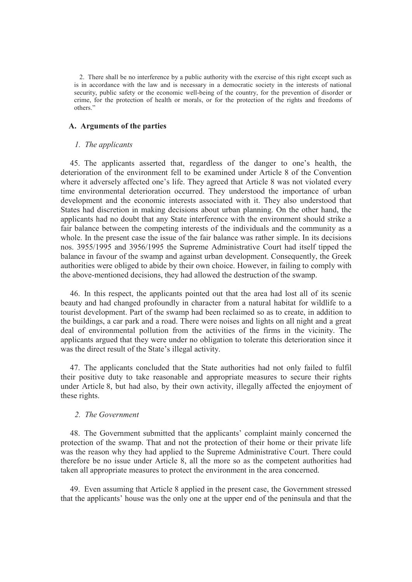2. There shall be no interference by a public authority with the exercise of this right except such as is in accordance with the law and is necessary in a democratic society in the interests of national security, public safety or the economic well-being of the country, for the prevention of disorder or crime, for the protection of health or morals, or for the protection of the rights and freedoms of others."

## **A. Arguments of the parties**

#### *1. The applicants*

45. The applicants asserted that, regardless of the danger to one's health, the deterioration of the environment fell to be examined under Article 8 of the Convention where it adversely affected one's life. They agreed that Article 8 was not violated every time environmental deterioration occurred. They understood the importance of urban development and the economic interests associated with it. They also understood that States had discretion in making decisions about urban planning. On the other hand, the applicants had no doubt that any State interference with the environment should strike a fair balance between the competing interests of the individuals and the community as a whole. In the present case the issue of the fair balance was rather simple. In its decisions nos. 3955/1995 and 3956/1995 the Supreme Administrative Court had itself tipped the balance in favour of the swamp and against urban development. Consequently, the Greek authorities were obliged to abide by their own choice. However, in failing to comply with the above-mentioned decisions, they had allowed the destruction of the swamp.

46. In this respect, the applicants pointed out that the area had lost all of its scenic beauty and had changed profoundly in character from a natural habitat for wildlife to a tourist development. Part of the swamp had been reclaimed so as to create, in addition to the buildings, a car park and a road. There were noises and lights on all night and a great deal of environmental pollution from the activities of the firms in the vicinity. The applicants argued that they were under no obligation to tolerate this deterioration since it was the direct result of the State's illegal activity.

47. The applicants concluded that the State authorities had not only failed to fulfil their positive duty to take reasonable and appropriate measures to secure their rights under Article 8, but had also, by their own activity, illegally affected the enjoyment of these rights.

## *2. The Government*

48. The Government submitted that the applicants' complaint mainly concerned the protection of the swamp. That and not the protection of their home or their private life was the reason why they had applied to the Supreme Administrative Court. There could therefore be no issue under Article 8, all the more so as the competent authorities had taken all appropriate measures to protect the environment in the area concerned.

49. Even assuming that Article 8 applied in the present case, the Government stressed that the applicants' house was the only one at the upper end of the peninsula and that the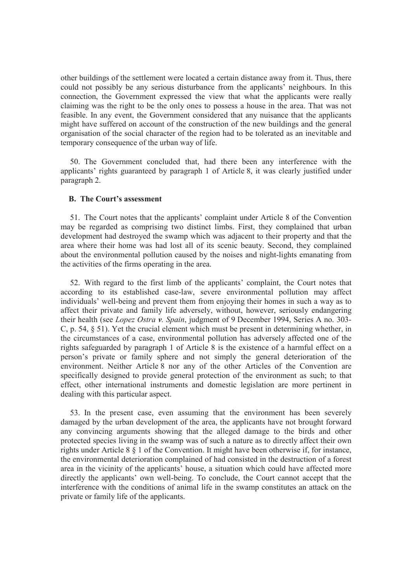other buildings of the settlement were located a certain distance away from it. Thus, there could not possibly be any serious disturbance from the applicants' neighbours. In this connection, the Government expressed the view that what the applicants were really claiming was the right to be the only ones to possess a house in the area. That was not feasible. In any event, the Government considered that any nuisance that the applicants might have suffered on account of the construction of the new buildings and the general organisation of the social character of the region had to be tolerated as an inevitable and temporary consequence of the urban way of life.

50. The Government concluded that, had there been any interference with the applicants' rights guaranteed by paragraph 1 of Article 8, it was clearly justified under paragraph 2.

## **B. The Court's assessment**

51. The Court notes that the applicants' complaint under Article 8 of the Convention may be regarded as comprising two distinct limbs. First, they complained that urban development had destroyed the swamp which was adjacent to their property and that the area where their home was had lost all of its scenic beauty. Second, they complained about the environmental pollution caused by the noises and night-lights emanating from the activities of the firms operating in the area.

52. With regard to the first limb of the applicants' complaint, the Court notes that according to its established case-law, severe environmental pollution may affect individuals' well-being and prevent them from enjoying their homes in such a way as to affect their private and family life adversely, without, however, seriously endangering their health (see *Lopez Ostra v. Spain*, judgment of 9 December 1994, Series A no. 303- C, p. 54, § 51). Yet the crucial element which must be present in determining whether, in the circumstances of a case, environmental pollution has adversely affected one of the rights safeguarded by paragraph 1 of Article 8 is the existence of a harmful effect on a person's private or family sphere and not simply the general deterioration of the environment. Neither Article 8 nor any of the other Articles of the Convention are specifically designed to provide general protection of the environment as such; to that effect, other international instruments and domestic legislation are more pertinent in dealing with this particular aspect.

53. In the present case, even assuming that the environment has been severely damaged by the urban development of the area, the applicants have not brought forward any convincing arguments showing that the alleged damage to the birds and other protected species living in the swamp was of such a nature as to directly affect their own rights under Article 8 § 1 of the Convention. It might have been otherwise if, for instance, the environmental deterioration complained of had consisted in the destruction of a forest area in the vicinity of the applicants' house, a situation which could have affected more directly the applicants' own well-being. To conclude, the Court cannot accept that the interference with the conditions of animal life in the swamp constitutes an attack on the private or family life of the applicants.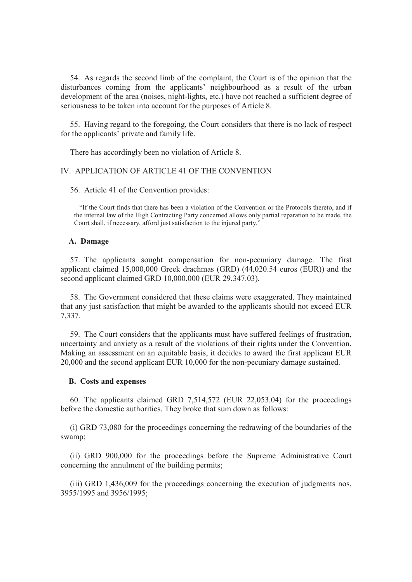54. As regards the second limb of the complaint, the Court is of the opinion that the disturbances coming from the applicants' neighbourhood as a result of the urban development of the area (noises, night-lights, etc.) have not reached a sufficient degree of seriousness to be taken into account for the purposes of Article 8.

55. Having regard to the foregoing, the Court considers that there is no lack of respect for the applicants' private and family life.

There has accordingly been no violation of Article 8.

### IV. APPLICATION OF ARTICLE 41 OF THE CONVENTION

56. Article 41 of the Convention provides:

"If the Court finds that there has been a violation of the Convention or the Protocols thereto, and if the internal law of the High Contracting Party concerned allows only partial reparation to be made, the Court shall, if necessary, afford just satisfaction to the injured party."

## **A. Damage**

57. The applicants sought compensation for non-pecuniary damage. The first applicant claimed 15,000,000 Greek drachmas (GRD) (44,020.54 euros (EUR)) and the second applicant claimed GRD 10,000,000 (EUR 29,347.03).

58. The Government considered that these claims were exaggerated. They maintained that any just satisfaction that might be awarded to the applicants should not exceed EUR 7,337.

59. The Court considers that the applicants must have suffered feelings of frustration, uncertainty and anxiety as a result of the violations of their rights under the Convention. Making an assessment on an equitable basis, it decides to award the first applicant EUR 20,000 and the second applicant EUR 10,000 for the non-pecuniary damage sustained.

## **B. Costs and expenses**

60. The applicants claimed GRD 7,514,572 (EUR 22,053.04) for the proceedings before the domestic authorities. They broke that sum down as follows:

(i) GRD 73,080 for the proceedings concerning the redrawing of the boundaries of the swamp;

(ii) GRD 900,000 for the proceedings before the Supreme Administrative Court concerning the annulment of the building permits;

(iii) GRD 1,436,009 for the proceedings concerning the execution of judgments nos. 3955/1995 and 3956/1995;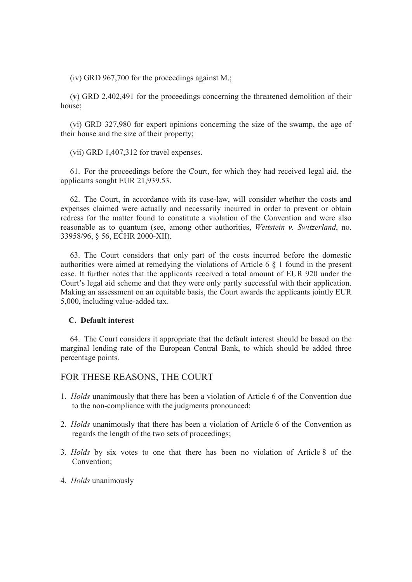(iv) GRD 967,700 for the proceedings against M.;

(**v**) GRD 2,402,491 for the proceedings concerning the threatened demolition of their house;

(vi) GRD 327,980 for expert opinions concerning the size of the swamp, the age of their house and the size of their property;

(vii) GRD 1,407,312 for travel expenses.

61. For the proceedings before the Court, for which they had received legal aid, the applicants sought EUR 21,939.53.

62. The Court, in accordance with its case-law, will consider whether the costs and expenses claimed were actually and necessarily incurred in order to prevent or obtain redress for the matter found to constitute a violation of the Convention and were also reasonable as to quantum (see, among other authorities, *Wettstein v. Switzerland*, no. 33958/96, § 56, ECHR 2000-XII).

63. The Court considers that only part of the costs incurred before the domestic authorities were aimed at remedying the violations of Article 6 § 1 found in the present case. It further notes that the applicants received a total amount of EUR 920 under the Court's legal aid scheme and that they were only partly successful with their application. Making an assessment on an equitable basis, the Court awards the applicants jointly EUR 5,000, including value-added tax.

## **C. Default interest**

64. The Court considers it appropriate that the default interest should be based on the marginal lending rate of the European Central Bank, to which should be added three percentage points.

# FOR THESE REASONS, THE COURT

- 1. *Holds* unanimously that there has been a violation of Article 6 of the Convention due to the non-compliance with the judgments pronounced;
- 2. *Holds* unanimously that there has been a violation of Article 6 of the Convention as regards the length of the two sets of proceedings;
- 3. *Holds* by six votes to one that there has been no violation of Article 8 of the Convention;
- 4. *Holds* unanimously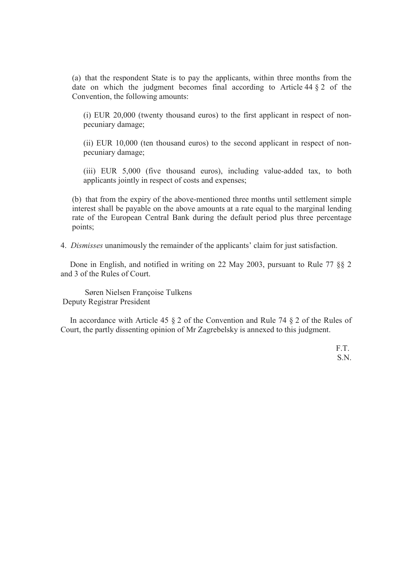(a) that the respondent State is to pay the applicants, within three months from the date on which the judgment becomes final according to Article 44 § 2 of the Convention, the following amounts:

(i) EUR 20,000 (twenty thousand euros) to the first applicant in respect of nonpecuniary damage;

(ii) EUR 10,000 (ten thousand euros) to the second applicant in respect of nonpecuniary damage;

(iii) EUR 5,000 (five thousand euros), including value-added tax, to both applicants jointly in respect of costs and expenses;

(b) that from the expiry of the above-mentioned three months until settlement simple interest shall be payable on the above amounts at a rate equal to the marginal lending rate of the European Central Bank during the default period plus three percentage points;

4. *Dismisses* unanimously the remainder of the applicants' claim for just satisfaction.

Done in English, and notified in writing on 22 May 2003, pursuant to Rule 77 §§ 2 and 3 of the Rules of Court.

Søren Nielsen Françoise Tulkens Deputy Registrar President

In accordance with Article 45 § 2 of the Convention and Rule 74 § 2 of the Rules of Court, the partly dissenting opinion of Mr Zagrebelsky is annexed to this judgment.

> F.T. S.N.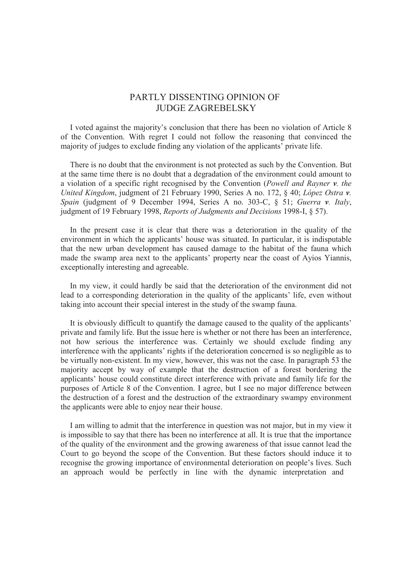# PARTLY DISSENTING OPINION OF JUDGE ZAGREBELSKY

I voted against the majority's conclusion that there has been no violation of Article 8 of the Convention. With regret I could not follow the reasoning that convinced the majority of judges to exclude finding any violation of the applicants' private life.

There is no doubt that the environment is not protected as such by the Convention. But at the same time there is no doubt that a degradation of the environment could amount to a violation of a specific right recognised by the Convention (*Powell and Rayner v. the United Kingdom*, judgment of 21 February 1990, Series A no. 172, § 40; *López Ostra v. Spain* (judgment of 9 December 1994, Series A no. 303-C, § 51; *Guerra v. Italy*, judgment of 19 February 1998, *Reports of Judgments and Decisions* 1998-I, § 57).

In the present case it is clear that there was a deterioration in the quality of the environment in which the applicants' house was situated. In particular, it is indisputable that the new urban development has caused damage to the habitat of the fauna which made the swamp area next to the applicants' property near the coast of Ayios Yiannis, exceptionally interesting and agreeable.

In my view, it could hardly be said that the deterioration of the environment did not lead to a corresponding deterioration in the quality of the applicants' life, even without taking into account their special interest in the study of the swamp fauna.

It is obviously difficult to quantify the damage caused to the quality of the applicants' private and family life. But the issue here is whether or not there has been an interference, not how serious the interference was. Certainly we should exclude finding any interference with the applicants' rights if the deterioration concerned is so negligible as to be virtually non-existent. In my view, however, this was not the case. In paragraph 53 the majority accept by way of example that the destruction of a forest bordering the applicants' house could constitute direct interference with private and family life for the purposes of Article 8 of the Convention. I agree, but I see no major difference between the destruction of a forest and the destruction of the extraordinary swampy environment the applicants were able to enjoy near their house.

I am willing to admit that the interference in question was not major, but in my view it is impossible to say that there has been no interference at all. It is true that the importance of the quality of the environment and the growing awareness of that issue cannot lead the Court to go beyond the scope of the Convention. But these factors should induce it to recognise the growing importance of environmental deterioration on people's lives. Such an approach would be perfectly in line with the dynamic interpretation and